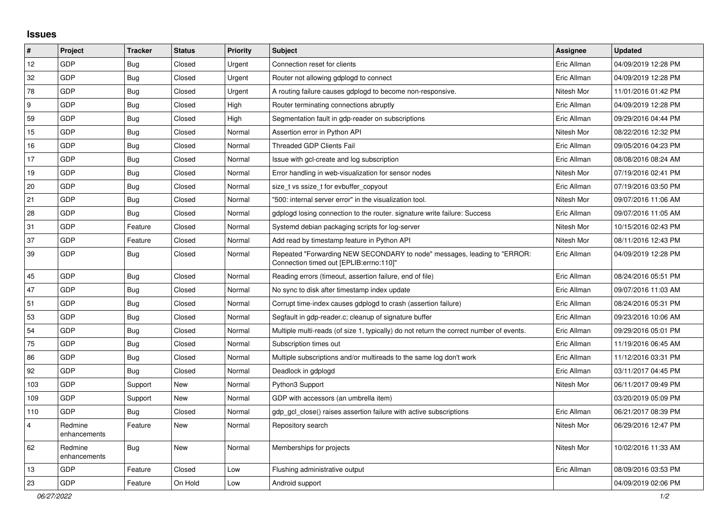## **Issues**

| $\vert$ #      | Project                 | <b>Tracker</b> | <b>Status</b> | <b>Priority</b> | <b>Subject</b>                                                                                                      | Assignee    | <b>Updated</b>      |
|----------------|-------------------------|----------------|---------------|-----------------|---------------------------------------------------------------------------------------------------------------------|-------------|---------------------|
| 12             | GDP                     | <b>Bug</b>     | Closed        | Urgent          | Connection reset for clients                                                                                        | Eric Allman | 04/09/2019 12:28 PM |
| 32             | GDP                     | <b>Bug</b>     | Closed        | Urgent          | Router not allowing gdplogd to connect                                                                              | Eric Allman | 04/09/2019 12:28 PM |
| 78             | GDP                     | <b>Bug</b>     | Closed        | Urgent          | A routing failure causes gdplogd to become non-responsive.                                                          | Nitesh Mor  | 11/01/2016 01:42 PM |
| 9              | GDP                     | <b>Bug</b>     | Closed        | High            | Router terminating connections abruptly                                                                             | Eric Allman | 04/09/2019 12:28 PM |
| 59             | GDP                     | <b>Bug</b>     | Closed        | High            | Segmentation fault in gdp-reader on subscriptions                                                                   | Eric Allman | 09/29/2016 04:44 PM |
| 15             | GDP                     | <b>Bug</b>     | Closed        | Normal          | Assertion error in Python API                                                                                       | Nitesh Mor  | 08/22/2016 12:32 PM |
| 16             | GDP                     | <b>Bug</b>     | Closed        | Normal          | <b>Threaded GDP Clients Fail</b>                                                                                    | Eric Allman | 09/05/2016 04:23 PM |
| 17             | GDP                     | <b>Bug</b>     | Closed        | Normal          | Issue with gcl-create and log subscription                                                                          | Eric Allman | 08/08/2016 08:24 AM |
| 19             | GDP                     | Bug            | Closed        | Normal          | Error handling in web-visualization for sensor nodes                                                                | Nitesh Mor  | 07/19/2016 02:41 PM |
| 20             | GDP                     | <b>Bug</b>     | Closed        | Normal          | size_t vs ssize_t for evbuffer_copyout                                                                              | Eric Allman | 07/19/2016 03:50 PM |
| 21             | GDP                     | <b>Bug</b>     | Closed        | Normal          | "500: internal server error" in the visualization tool.                                                             | Nitesh Mor  | 09/07/2016 11:06 AM |
| 28             | GDP                     | <b>Bug</b>     | Closed        | Normal          | gdplogd losing connection to the router. signature write failure: Success                                           | Eric Allman | 09/07/2016 11:05 AM |
| 31             | GDP                     | Feature        | Closed        | Normal          | Systemd debian packaging scripts for log-server                                                                     | Nitesh Mor  | 10/15/2016 02:43 PM |
| 37             | GDP                     | Feature        | Closed        | Normal          | Add read by timestamp feature in Python API                                                                         | Nitesh Mor  | 08/11/2016 12:43 PM |
| 39             | GDP                     | Bug            | Closed        | Normal          | Repeated "Forwarding NEW SECONDARY to node" messages, leading to "ERROR:<br>Connection timed out [EPLIB:errno:110]" | Eric Allman | 04/09/2019 12:28 PM |
| 45             | GDP                     | <b>Bug</b>     | Closed        | Normal          | Reading errors (timeout, assertion failure, end of file)                                                            | Eric Allman | 08/24/2016 05:51 PM |
| 47             | GDP                     | <b>Bug</b>     | Closed        | Normal          | No sync to disk after timestamp index update                                                                        | Eric Allman | 09/07/2016 11:03 AM |
| 51             | GDP                     | <b>Bug</b>     | Closed        | Normal          | Corrupt time-index causes gdplogd to crash (assertion failure)                                                      | Eric Allman | 08/24/2016 05:31 PM |
| 53             | GDP                     | <b>Bug</b>     | Closed        | Normal          | Segfault in gdp-reader.c; cleanup of signature buffer                                                               | Eric Allman | 09/23/2016 10:06 AM |
| 54             | GDP                     | <b>Bug</b>     | Closed        | Normal          | Multiple multi-reads (of size 1, typically) do not return the correct number of events.                             | Eric Allman | 09/29/2016 05:01 PM |
| 75             | GDP                     | <b>Bug</b>     | Closed        | Normal          | Subscription times out                                                                                              | Eric Allman | 11/19/2016 06:45 AM |
| 86             | GDP                     | <b>Bug</b>     | Closed        | Normal          | Multiple subscriptions and/or multireads to the same log don't work                                                 | Eric Allman | 11/12/2016 03:31 PM |
| 92             | GDP                     | Bug            | Closed        | Normal          | Deadlock in gdplogd                                                                                                 | Eric Allman | 03/11/2017 04:45 PM |
| 103            | GDP                     | Support        | <b>New</b>    | Normal          | Python3 Support                                                                                                     | Nitesh Mor  | 06/11/2017 09:49 PM |
| 109            | GDP                     | Support        | New           | Normal          | GDP with accessors (an umbrella item)                                                                               |             | 03/20/2019 05:09 PM |
| 110            | GDP                     | Bug            | Closed        | Normal          | gdp gcl close() raises assertion failure with active subscriptions                                                  | Eric Allman | 06/21/2017 08:39 PM |
| $\overline{4}$ | Redmine<br>enhancements | Feature        | New           | Normal          | Repository search                                                                                                   | Nitesh Mor  | 06/29/2016 12:47 PM |
| 62             | Redmine<br>enhancements | <b>Bug</b>     | New           | Normal          | Memberships for projects                                                                                            | Nitesh Mor  | 10/02/2016 11:33 AM |
| 13             | GDP                     | Feature        | Closed        | Low             | Flushing administrative output                                                                                      | Eric Allman | 08/09/2016 03:53 PM |
| 23             | GDP                     | Feature        | On Hold       | Low             | Android support                                                                                                     |             | 04/09/2019 02:06 PM |